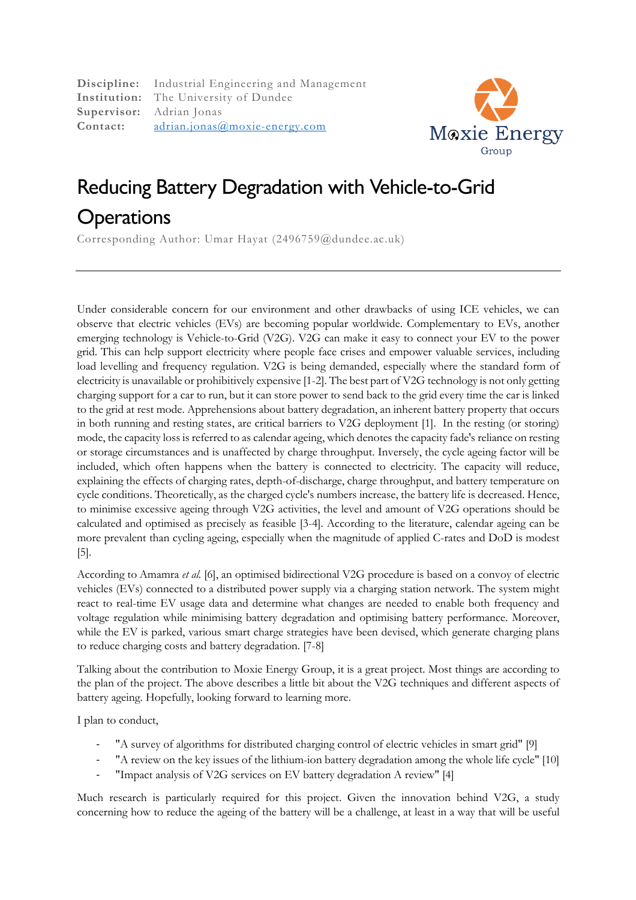**Discipline:** Industrial Engineering and Management **Institution:** The University of Dundee **Supervisor:** Adrian Jonas **Contact:** adrian.jonas@moxie-energy.com



## Reducing Battery Degradation with Vehicle-to-Grid **Operations**

Corresponding Author: Umar Hayat (2496759@dundee.ac.uk)

Under considerable concern for our environment and other drawbacks of using ICE vehicles, we can observe that electric vehicles (EVs) are becoming popular worldwide. Complementary to EVs, another emerging technology is Vehicle-to-Grid (V2G). V2G can make it easy to connect your EV to the power grid. This can help support electricity where people face crises and empower valuable services, including load levelling and frequency regulation. V2G is being demanded, especially where the standard form of electricity is unavailable or prohibitively expensive [1-2]. The best part of V2G technology is not only getting charging support for a car to run, but it can store power to send back to the grid every time the car is linked to the grid at rest mode. Apprehensions about battery degradation, an inherent battery property that occurs in both running and resting states, are critical barriers to V2G deployment [1]. In the resting (or storing) mode, the capacity loss is referred to as calendar ageing, which denotes the capacity fade's reliance on resting or storage circumstances and is unaffected by charge throughput. Inversely, the cycle ageing factor will be included, which often happens when the battery is connected to electricity. The capacity will reduce, explaining the effects of charging rates, depth-of-discharge, charge throughput, and battery temperature on cycle conditions. Theoretically, as the charged cycle's numbers increase, the battery life is decreased. Hence, to minimise excessive ageing through V2G activities, the level and amount of V2G operations should be calculated and optimised as precisely as feasible [3-4]. According to the literature, calendar ageing can be more prevalent than cycling ageing, especially when the magnitude of applied C-rates and DoD is modest [5].

According to Amamra *et al.* [6], an optimised bidirectional V2G procedure is based on a convoy of electric vehicles (EVs) connected to a distributed power supply via a charging station network. The system might react to real-time EV usage data and determine what changes are needed to enable both frequency and voltage regulation while minimising battery degradation and optimising battery performance. Moreover, while the EV is parked, various smart charge strategies have been devised, which generate charging plans to reduce charging costs and battery degradation. [7-8]

Talking about the contribution to Moxie Energy Group, it is a great project. Most things are according to the plan of the project. The above describes a little bit about the V2G techniques and different aspects of battery ageing. Hopefully, looking forward to learning more.

I plan to conduct,

- "A survey of algorithms for distributed charging control of electric vehicles in smart grid" [9]
- "A review on the key issues of the lithium-ion battery degradation among the whole life cycle" [10]
- "Impact analysis of V2G services on EV battery degradation A review" [4]

Much research is particularly required for this project. Given the innovation behind V2G, a study concerning how to reduce the ageing of the battery will be a challenge, at least in a way that will be useful